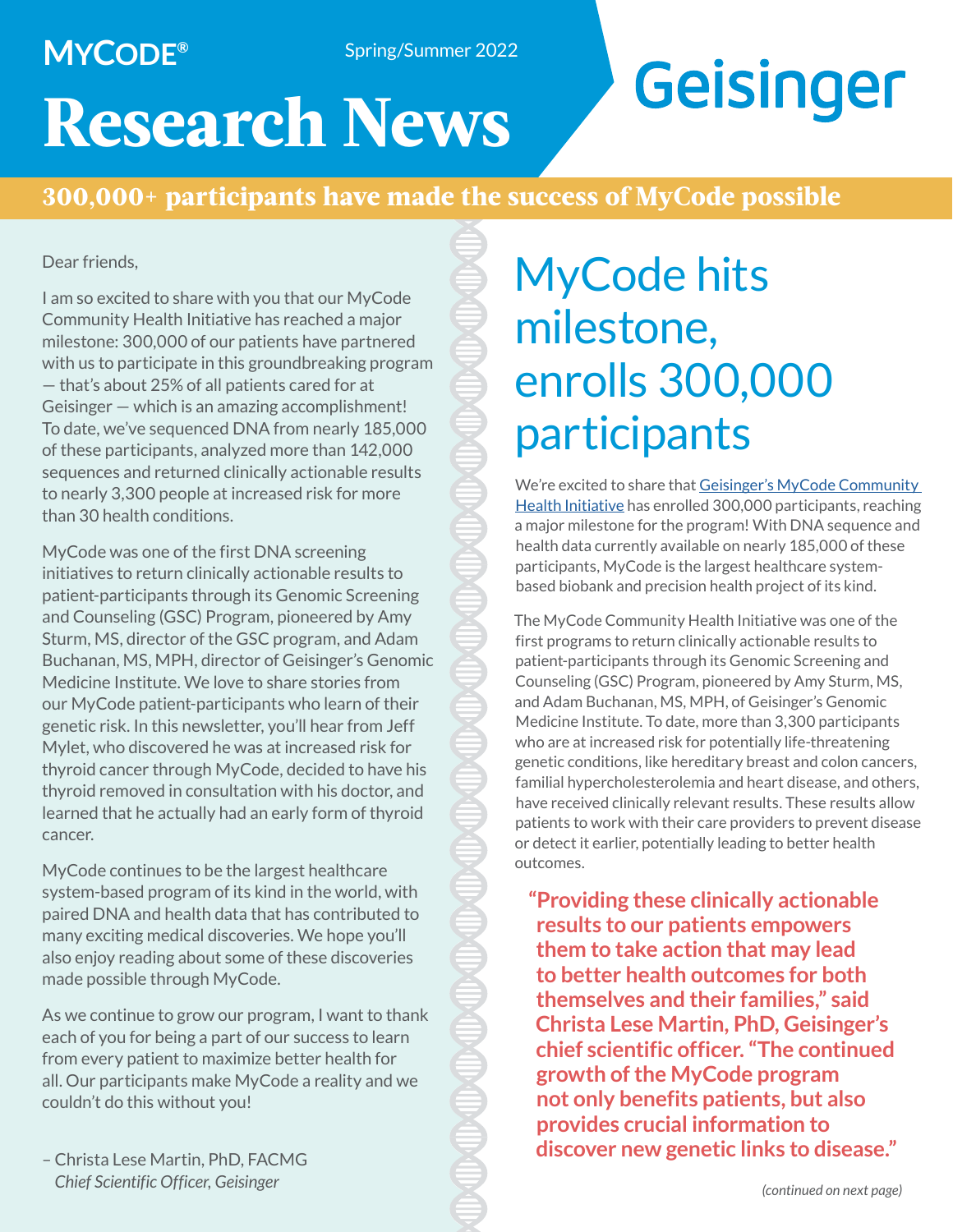### **MYCODE®**

Spring/Summer 2022

# Geisinger

# **Research News**

### **300,000+ participants have made the success of MyCode possible**

#### Dear friends,

I am so excited to share with you that our MyCode Community Health Initiative has reached a major milestone: 300,000 of our patients have partnered with us to participate in this groundbreaking program — that's about 25% of all patients cared for at Geisinger — which is an amazing accomplishment! To date, we've sequenced DNA from nearly 185,000 of these participants, analyzed more than 142,000 sequences and returned clinically actionable results to nearly 3,300 people at increased risk for more than 30 health conditions.

MyCode was one of the first DNA screening initiatives to return clinically actionable results to patient-participants through its Genomic Screening and Counseling (GSC) Program, pioneered by Amy Sturm, MS, director of the GSC program, and Adam Buchanan, MS, MPH, director of Geisinger's Genomic Medicine Institute. We love to share stories from our MyCode patient-participants who learn of their genetic risk. In this newsletter, you'll hear from Jeff Mylet, who discovered he was at increased risk for thyroid cancer through MyCode, decided to have his thyroid removed in consultation with his doctor, and learned that he actually had an early form of thyroid cancer.

MyCode continues to be the largest healthcare system-based program of its kind in the world, with paired DNA and health data that has contributed to many exciting medical discoveries. We hope you'll also enjoy reading about some of these discoveries made possible through MyCode.

As we continue to grow our program, I want to thank each of you for being a part of our success to learn from every patient to maximize better health for all. Our participants make MyCode a reality and we couldn't do this without you!

– Christa Lese Martin, PhD, FACMG *Chief Scientific Officer, Geisinger*

# MyCode hits milestone, enrolls 300,000 participants

We're excited to share that Geisinger's MyCode Community [Health Initiative](https://www.geisinger.org/precision-health/mycode) has enrolled 300,000 participants, reaching a major milestone for the program! With DNA sequence and health data currently available on nearly 185,000 of these participants, MyCode is the largest healthcare systembased biobank and precision health project of its kind.

The MyCode Community Health Initiative was one of the first programs to return clinically actionable results to patient-participants through its Genomic Screening and Counseling (GSC) Program, pioneered by Amy Sturm, MS, and Adam Buchanan, MS, MPH, of Geisinger's Genomic Medicine Institute. To date, more than 3,300 participants who are at increased risk for potentially life-threatening genetic conditions, like hereditary breast and colon cancers, familial hypercholesterolemia and heart disease, and others, have received clinically relevant results. These results allow patients to work with their care providers to prevent disease or detect it earlier, potentially leading to better health outcomes.

**"Providing these clinically actionable results to our patients empowers them to take action that may lead to better health outcomes for both themselves and their families," said Christa Lese Martin, PhD, Geisinger's chief scientific officer. "The continued growth of the MyCode program not only benefits patients, but also provides crucial information to discover new genetic links to disease."**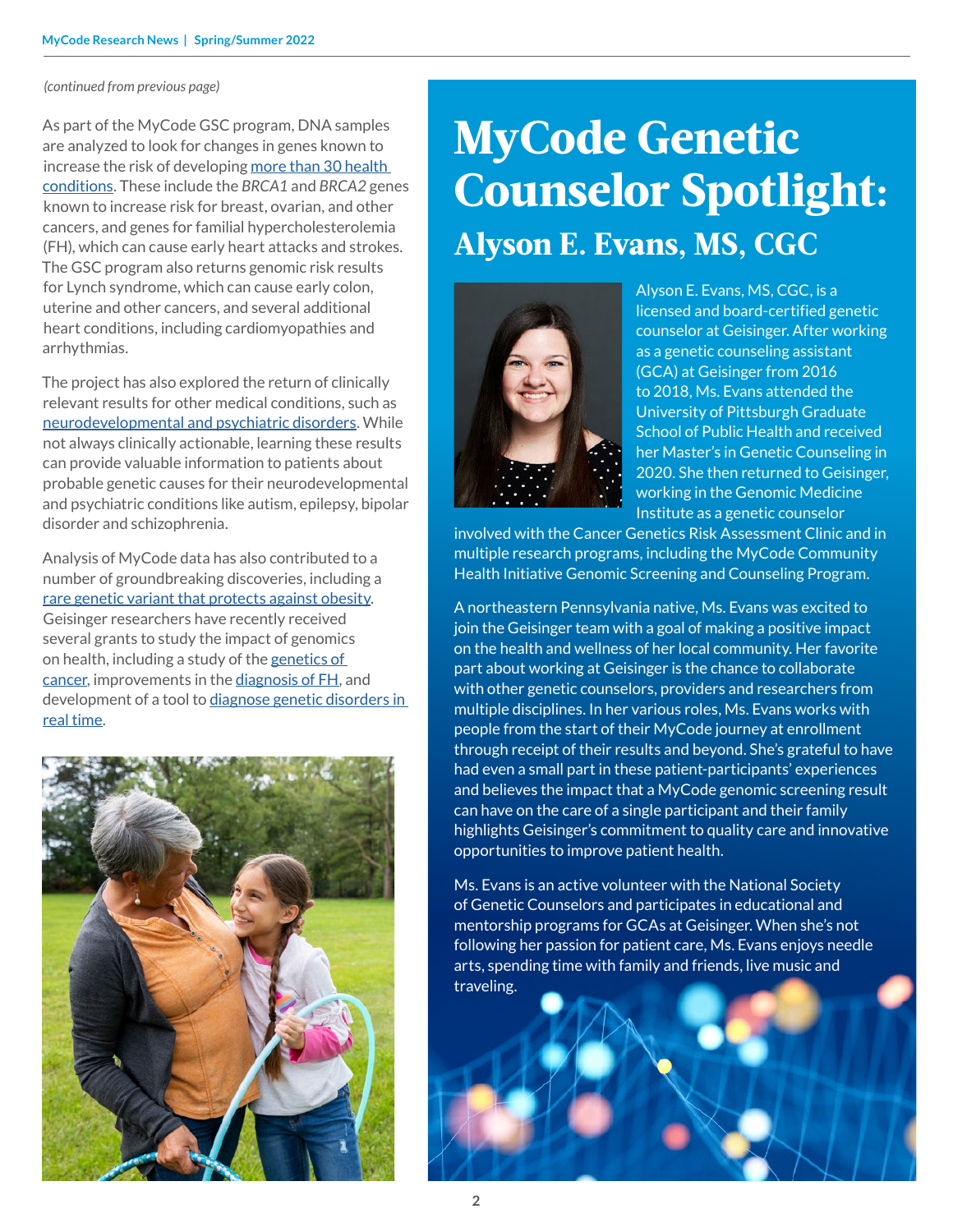#### *(continued from previous page)*

As part of the MyCode GSC program, DNA samples are analyzed to look for changes in genes known to increase the risk of developing [more than 30 health](https://www.geisinger.org/-/media/OneGeisinger/pdfs/ghs/research/mycode/Latest-MyCode-Results-Reported.pdf?la=en)  [conditions.](https://www.geisinger.org/-/media/OneGeisinger/pdfs/ghs/research/mycode/Latest-MyCode-Results-Reported.pdf?la=en) These include the *BRCA1* and *BRCA2* genes known to increase risk for breast, ovarian, and other cancers, and genes for familial hypercholesterolemia (FH), which can cause early heart attacks and strokes. The GSC program also returns genomic risk results for Lynch syndrome, which can cause early colon, uterine and other cancers, and several additional heart conditions, including cardiomyopathies and arrhythmias.

The project has also explored the return of clinically relevant results for other medical conditions, such as [neurodevelopmental and psychiatric disorders](https://www.geisinger.org/about-geisinger/news-and-media/news-releases/2020/07/22/20/48/dna-changes-that-cause-neuropsychiatric-disorders-should-be-included-in-genomic-s). While not always clinically actionable, learning these results can provide valuable information to patients about probable genetic causes for their neurodevelopmental and psychiatric conditions like autism, epilepsy, bipolar disorder and schizophrenia.

Analysis of MyCode data has also contributed to a number of groundbreaking discoveries, including a [rare genetic variant that protects against obesity](https://www.geisinger.org/about-geisinger/news-and-media/news-releases/2021/07/06/21/11/regeneron-genetics-center-discovers-gene-mutations-that-protect-against-obesity). Geisinger researchers have recently received several grants to study the impact of genomics on health, including a study of the genetics of [cancer,](https://www.geisinger.org/about-geisinger/news-and-media/news-releases/2021/04/29/16/45/geisinger-awarded-3-6-million-to-study-genetics-of-cancer) improvements in the [diagnosis of FH,](https://www.geisinger.org/about-geisinger/news-and-media/news-releases/2019/11/25/16/32/geisinger-researchers-receive-millions-to-study-familial-hypercholesterolemia) and development of a tool to diagnose genetic disorders in [real time.](https://www.geisinger.org/about-geisinger/news-and-media/news-releases/2021/09/22/17/57/geisinger-awarded-5-million-to-develop-diagnostic-tool-for-genetic-disorders)



## **MyCode Genetic Counselor Spotlight: Alyson E. Evans, MS, CGC**



Alyson E. Evans, MS, CGC, is a licensed and board-certified genetic counselor at Geisinger. After working as a genetic counseling assistant (GCA) at Geisinger from 2016 to 2018, Ms. Evans attended the University of Pittsburgh Graduate School of Public Health and received her Master's in Genetic Counseling in 2020. She then returned to Geisinger, working in the Genomic Medicine Institute as a genetic counselor

involved with the Cancer Genetics Risk Assessment Clinic and in multiple research programs, including the MyCode Community Health Initiative Genomic Screening and Counseling Program.

A northeastern Pennsylvania native, Ms. Evans was excited to join the Geisinger team with a goal of making a positive impact on the health and wellness of her local community. Her favorite part about working at Geisinger is the chance to collaborate with other genetic counselors, providers and researchers from multiple disciplines. In her various roles, Ms. Evans works with people from the start of their MyCode journey at enrollment through receipt of their results and beyond. She's grateful to have had even a small part in these patient-participants' experiences and believes the impact that a MyCode genomic screening result can have on the care of a single participant and their family highlights Geisinger's commitment to quality care and innovative opportunities to improve patient health.

Ms. Evans is an active volunteer with the National Society of Genetic Counselors and participates in educational and mentorship programs for GCAs at Geisinger. When she's not following her passion for patient care, Ms. Evans enjoys needle arts, spending time with family and friends, live music and traveling.

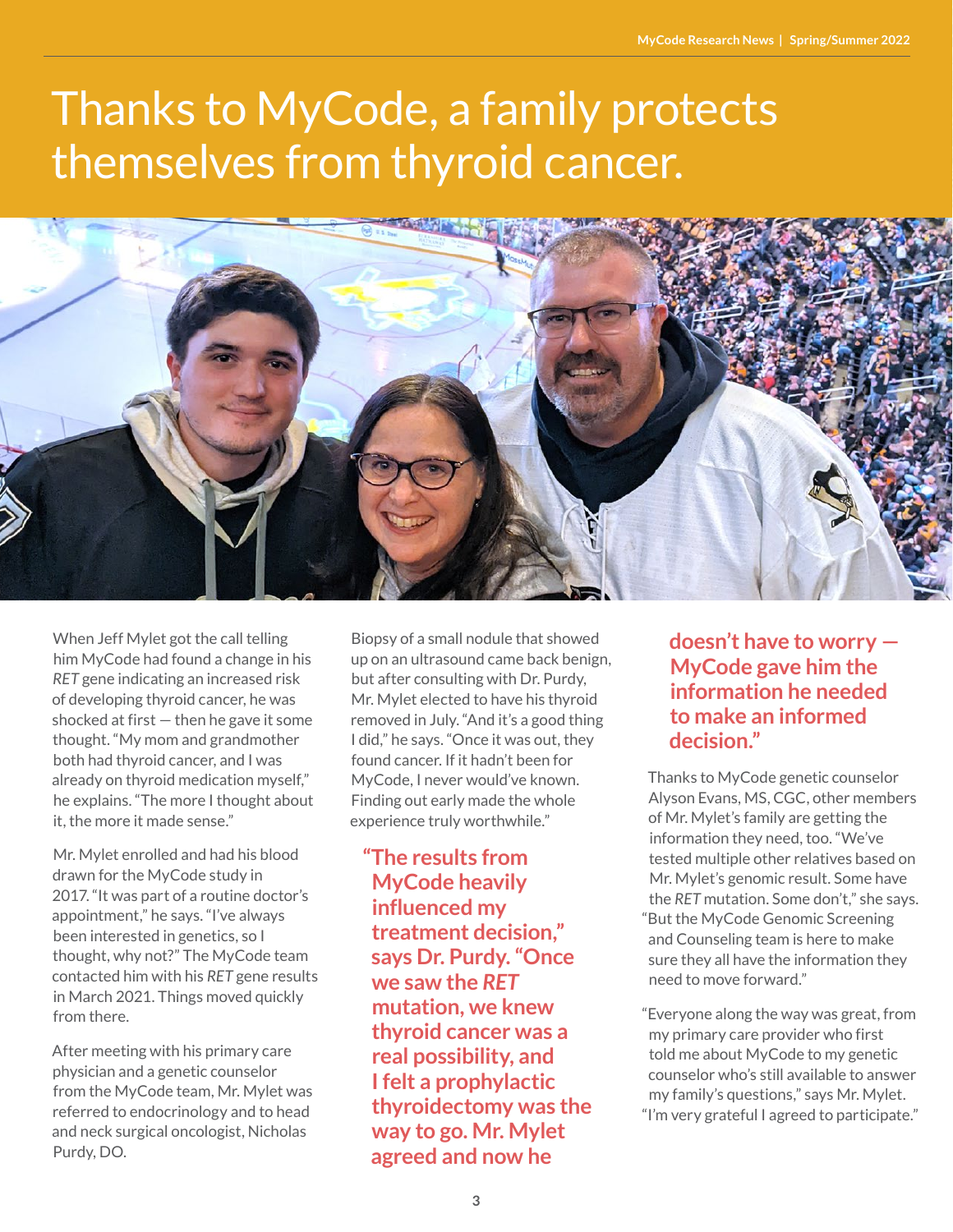# Thanks to MyCode, a family protects themselves from thyroid cancer.



When Jeff Mylet got the call telling him MyCode had found a change in his *RET* gene indicating an increased risk of developing thyroid cancer, he was shocked at first — then he gave it some thought. "My mom and grandmother both had thyroid cancer, and I was already on thyroid medication myself," he explains. "The more I thought about it, the more it made sense."

Mr. Mylet enrolled and had his blood drawn for the MyCode study in 2017. "It was part of a routine doctor's appointment," he says. "I've always been interested in genetics, so I thought, why not?" The MyCode team contacted him with his *RET* gene results in March 2021. Things moved quickly from there.

After meeting with his primary care physician and a genetic counselor from the MyCode team, Mr. Mylet was referred to endocrinology and to head and neck surgical oncologist, Nicholas Purdy, DO.

Biopsy of a small nodule that showed up on an ultrasound came back benign, but after consulting with Dr. Purdy, Mr. Mylet elected to have his thyroid removed in July. "And it's a good thing I did," he says. "Once it was out, they found cancer. If it hadn't been for MyCode, I never would've known. Finding out early made the whole experience truly worthwhile."

**"The results from MyCode heavily influenced my treatment decision," says Dr. Purdy. "Once we saw the** *RET* **mutation, we knew thyroid cancer was a real possibility, and I felt a prophylactic thyroidectomy was the way to go. Mr. Mylet agreed and now he** 

#### **doesn't have to worry — MyCode gave him the information he needed to make an informed decision."**

Thanks to MyCode genetic counselor Alyson Evans, MS, CGC, other members of Mr. Mylet's family are getting the information they need, too. "We've tested multiple other relatives based on Mr. Mylet's genomic result. Some have the *RET* mutation. Some don't," she says. "But the MyCode Genomic Screening and Counseling team is here to make sure they all have the information they need to move forward."

"Everyone along the way was great, from my primary care provider who first told me about MyCode to my genetic counselor who's still available to answer my family's questions," says Mr. Mylet. "I'm very grateful I agreed to participate."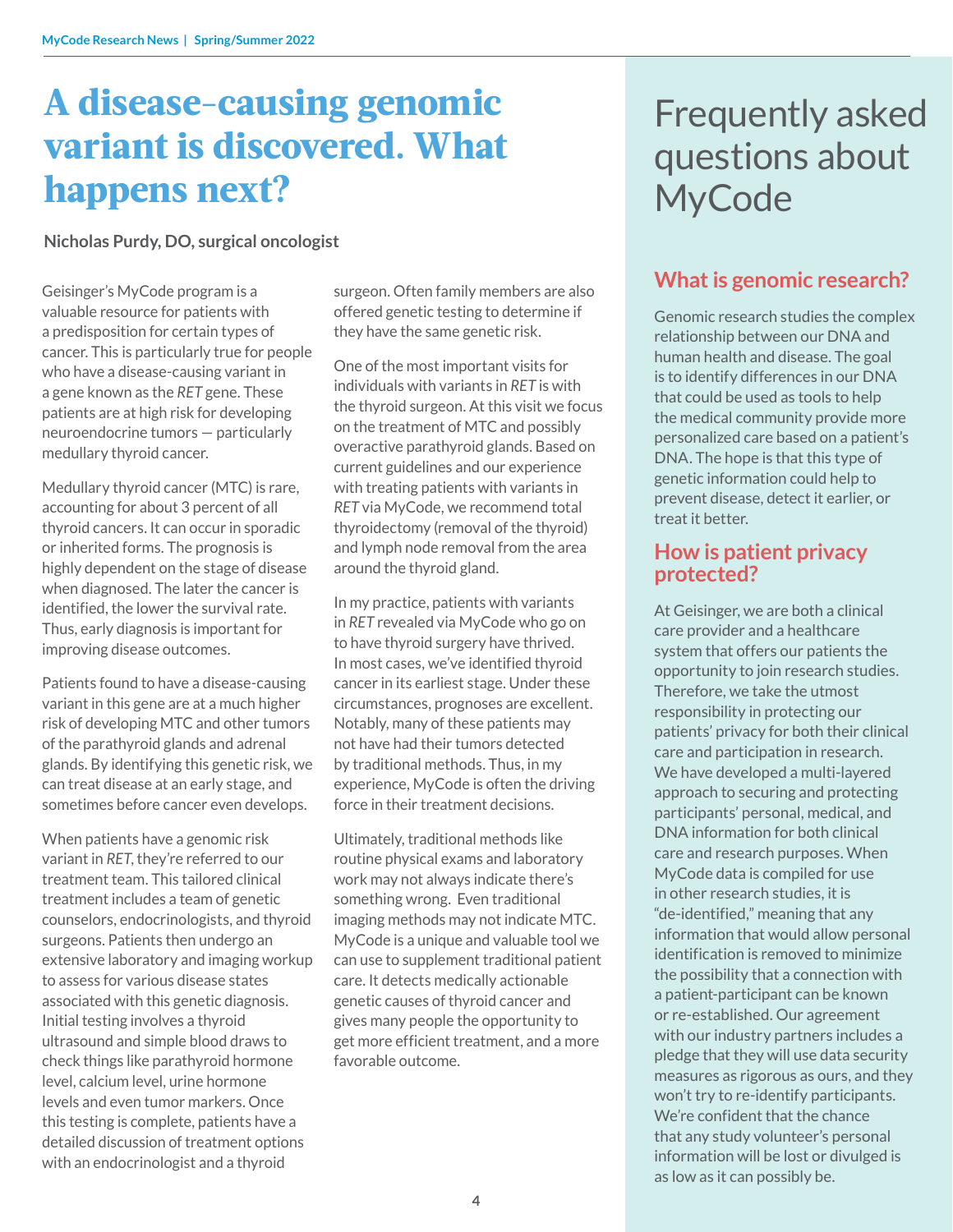### **A disease-causing genomic variant is discovered. What happens next?**

#### **Nicholas Purdy, DO, surgical oncologist**

Geisinger's MyCode program is a valuable resource for patients with a predisposition for certain types of cancer. This is particularly true for people who have a disease-causing variant in a gene known as the *RET* gene. These patients are at high risk for developing neuroendocrine tumors — particularly medullary thyroid cancer.

Medullary thyroid cancer (MTC) is rare, accounting for about 3 percent of all thyroid cancers. It can occur in sporadic or inherited forms. The prognosis is highly dependent on the stage of disease when diagnosed. The later the cancer is identified, the lower the survival rate. Thus, early diagnosis is important for improving disease outcomes.

Patients found to have a disease-causing variant in this gene are at a much higher risk of developing MTC and other tumors of the parathyroid glands and adrenal glands. By identifying this genetic risk, we can treat disease at an early stage, and sometimes before cancer even develops.

When patients have a genomic risk variant in *RET*, they're referred to our treatment team. This tailored clinical treatment includes a team of genetic counselors, endocrinologists, and thyroid surgeons. Patients then undergo an extensive laboratory and imaging workup to assess for various disease states associated with this genetic diagnosis. Initial testing involves a thyroid ultrasound and simple blood draws to check things like parathyroid hormone level, calcium level, urine hormone levels and even tumor markers. Once this testing is complete, patients have a detailed discussion of treatment options with an endocrinologist and a thyroid

surgeon. Often family members are also offered genetic testing to determine if they have the same genetic risk.

One of the most important visits for individuals with variants in *RET* is with the thyroid surgeon. At this visit we focus on the treatment of MTC and possibly overactive parathyroid glands. Based on current guidelines and our experience with treating patients with variants in *RET* via MyCode, we recommend total thyroidectomy (removal of the thyroid) and lymph node removal from the area around the thyroid gland.

In my practice, patients with variants in *RET* revealed via MyCode who go on to have thyroid surgery have thrived. In most cases, we've identified thyroid cancer in its earliest stage. Under these circumstances, prognoses are excellent. Notably, many of these patients may not have had their tumors detected by traditional methods. Thus, in my experience, MyCode is often the driving force in their treatment decisions.

Ultimately, traditional methods like routine physical exams and laboratory work may not always indicate there's something wrong. Even traditional imaging methods may not indicate MTC. MyCode is a unique and valuable tool we can use to supplement traditional patient care. It detects medically actionable genetic causes of thyroid cancer and gives many people the opportunity to get more efficient treatment, and a more favorable outcome.

### Frequently asked questions about MyCode

### **What is genomic research?**

Genomic research studies the complex relationship between our DNA and human health and disease. The goal is to identify differences in our DNA that could be used as tools to help the medical community provide more personalized care based on a patient's DNA. The hope is that this type of genetic information could help to prevent disease, detect it earlier, or treat it better.

#### **How is patient privacy protected?**

At Geisinger, we are both a clinical care provider and a healthcare system that offers our patients the opportunity to join research studies. Therefore, we take the utmost responsibility in protecting our patients' privacy for both their clinical care and participation in research. We have developed a multi-layered approach to securing and protecting participants' personal, medical, and DNA information for both clinical care and research purposes. When MyCode data is compiled for use in other research studies, it is "de-identified," meaning that any information that would allow personal identification is removed to minimize the possibility that a connection with a patient-participant can be known or re-established. Our agreement with our industry partners includes a pledge that they will use data security measures as rigorous as ours, and they won't try to re-identify participants. We're confident that the chance that any study volunteer's personal information will be lost or divulged is as low as it can possibly be.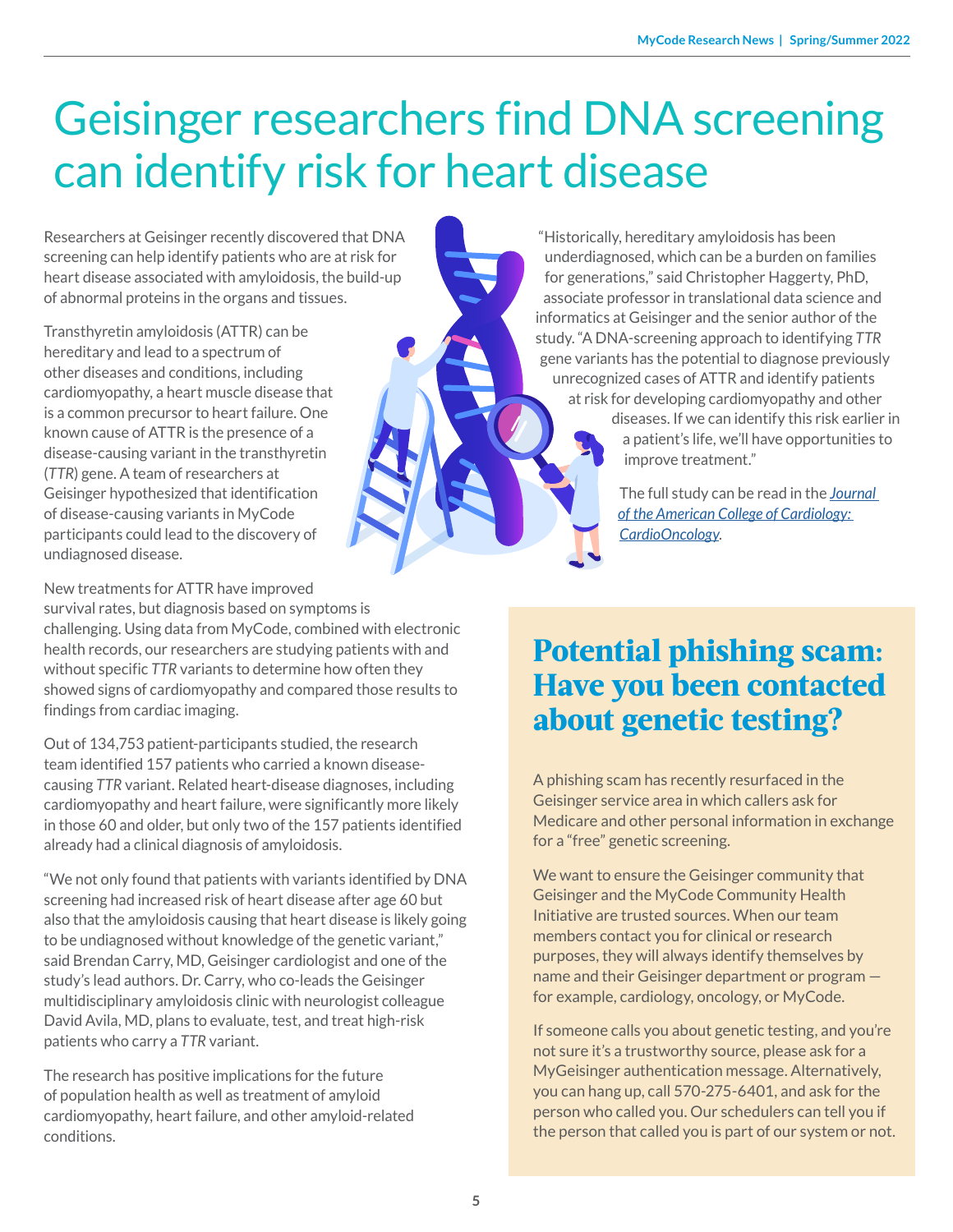# Geisinger researchers find DNA screening can identify risk for heart disease

Researchers at Geisinger recently discovered that DNA screening can help identify patients who are at risk for heart disease associated with amyloidosis, the build-up of abnormal proteins in the organs and tissues.

Transthyretin amyloidosis (ATTR) can be hereditary and lead to a spectrum of other diseases and conditions, including cardiomyopathy, a heart muscle disease that is a common precursor to heart failure. One known cause of ATTR is the presence of a disease-causing variant in the transthyretin (*TTR*) gene. A team of researchers at Geisinger hypothesized that identification of disease-causing variants in MyCode participants could lead to the discovery of undiagnosed disease.

New treatments for ATTR have improved

survival rates, but diagnosis based on symptoms is challenging. Using data from MyCode, combined with electronic health records, our researchers are studying patients with and without specific *TTR* variants to determine how often they showed signs of cardiomyopathy and compared those results to findings from cardiac imaging.

Out of 134,753 patient-participants studied, the research team identified 157 patients who carried a known diseasecausing *TTR* variant. Related heart-disease diagnoses, including cardiomyopathy and heart failure, were significantly more likely in those 60 and older, but only two of the 157 patients identified already had a clinical diagnosis of amyloidosis.

"We not only found that patients with variants identified by DNA screening had increased risk of heart disease after age 60 but also that the amyloidosis causing that heart disease is likely going to be undiagnosed without knowledge of the genetic variant," said Brendan Carry, MD, Geisinger cardiologist and one of the study's lead authors. Dr. Carry, who co-leads the Geisinger multidisciplinary amyloidosis clinic with neurologist colleague David Avila, MD, plans to evaluate, test, and treat high-risk patients who carry a *TTR* variant.

The research has positive implications for the future of population health as well as treatment of amyloid cardiomyopathy, heart failure, and other amyloid-related conditions.

"Historically, hereditary amyloidosis has been underdiagnosed, which can be a burden on families for generations," said Christopher Haggerty, PhD, associate professor in translational data science and informatics at Geisinger and the senior author of the study. "A DNA-screening approach to identifying *TTR* gene variants has the potential to diagnose previously unrecognized cases of ATTR and identify patients at risk for developing cardiomyopathy and other diseases. If we can identify this risk earlier in

a patient's life, we'll have opportunities to improve treatment."

The full study can be read in the *[Journal](https://www.sciencedirect.com/science/article/pii/S266608732100154X)  [of the American College of Cardiology:](https://www.sciencedirect.com/science/article/pii/S266608732100154X)  [CardioOncology](https://www.sciencedirect.com/science/article/pii/S266608732100154X)*.

### **Potential phishing scam: Have you been contacted about genetic testing?**

A phishing scam has recently resurfaced in the Geisinger service area in which callers ask for Medicare and other personal information in exchange for a "free" genetic screening.

We want to ensure the Geisinger community that Geisinger and the MyCode Community Health Initiative are trusted sources. When our team members contact you for clinical or research purposes, they will always identify themselves by name and their Geisinger department or program for example, cardiology, oncology, or MyCode.

If someone calls you about genetic testing, and you're not sure it's a trustworthy source, please ask for a MyGeisinger authentication message. Alternatively, you can hang up, call 570-275-6401, and ask for the person who called you. Our schedulers can tell you if the person that called you is part of our system or not.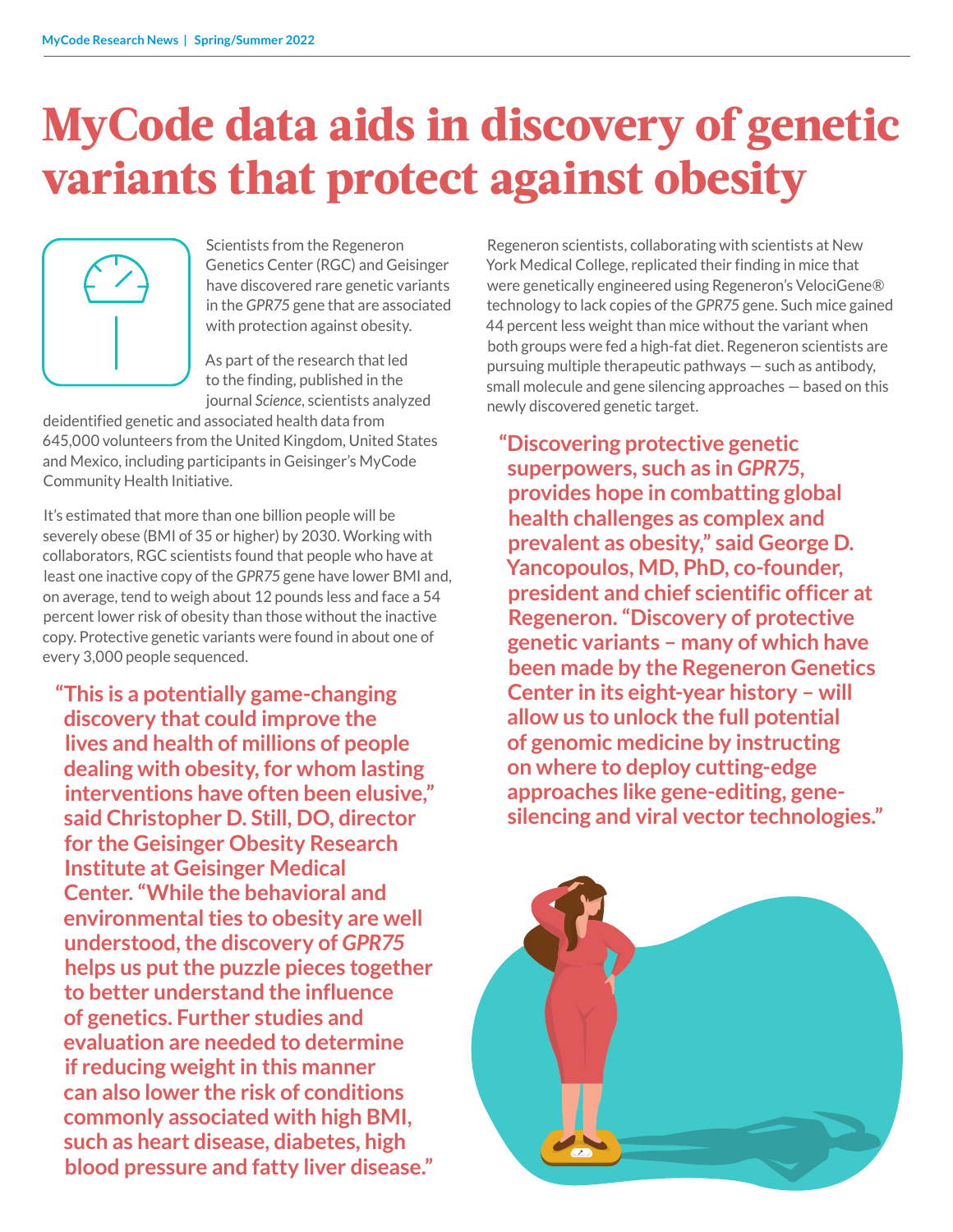# **MyCode data aids in discovery of genetic variants that protect against obesity**



Scientists from the Regeneron Genetics Center (RGC) and Geisinger have discovered rare genetic variants in the *GPR75* gene that are associated with protection against obesity.

As part of the research that led to the finding, published in the journal *Science*, scientists analyzed

deidentified genetic and associated health data from 645,000 volunteers from the United Kingdom, United States and Mexico, including participants in Geisinger's MyCode Community Health Initiative.

It's estimated that more than one billion people will be severely obese (BMI of 35 or higher) by 2030. Working with collaborators, RGC scientists found that people who have at least one inactive copy of the *GPR75* gene have lower BMI and, on average, tend to weigh about 12 pounds less and face a 54 percent lower risk of obesity than those without the inactive copy. Protective genetic variants were found in about one of every 3,000 people sequenced.

**"This is a potentially game-changing discovery that could improve the lives and health of millions of people dealing with obesity, for whom lasting interventions have often been elusive," said Christopher D. Still, DO, director for the Geisinger Obesity Research Institute at Geisinger Medical Center. "While the behavioral and environmental ties to obesity are well understood, the discovery of** *GPR75* **helps us put the puzzle pieces together to better understand the influence of genetics. Further studies and evaluation are needed to determine if reducing weight in this manner can also lower the risk of conditions commonly associated with high BMI, such as heart disease, diabetes, high blood pressure and fatty liver disease."** 

Regeneron scientists, collaborating with scientists at New York Medical College, replicated their finding in mice that were genetically engineered using Regeneron's VelociGene® technology to lack copies of the *GPR75* gene. Such mice gained 44 percent less weight than mice without the variant when both groups were fed a high-fat diet. Regeneron scientists are pursuing multiple therapeutic pathways — such as antibody, small molecule and gene silencing approaches — based on this newly discovered genetic target.

**"Discovering protective genetic superpowers, such as in** *GPR75***, provides hope in combatting global health challenges as complex and prevalent as obesity," said George D. Yancopoulos, MD, PhD, co-founder, president and chief scientific officer at Regeneron. "Discovery of protective genetic variants – many of which have been made by the Regeneron Genetics Center in its eight-year history – will allow us to unlock the full potential of genomic medicine by instructing on where to deploy cutting-edge approaches like gene-editing, genesilencing and viral vector technologies."** 

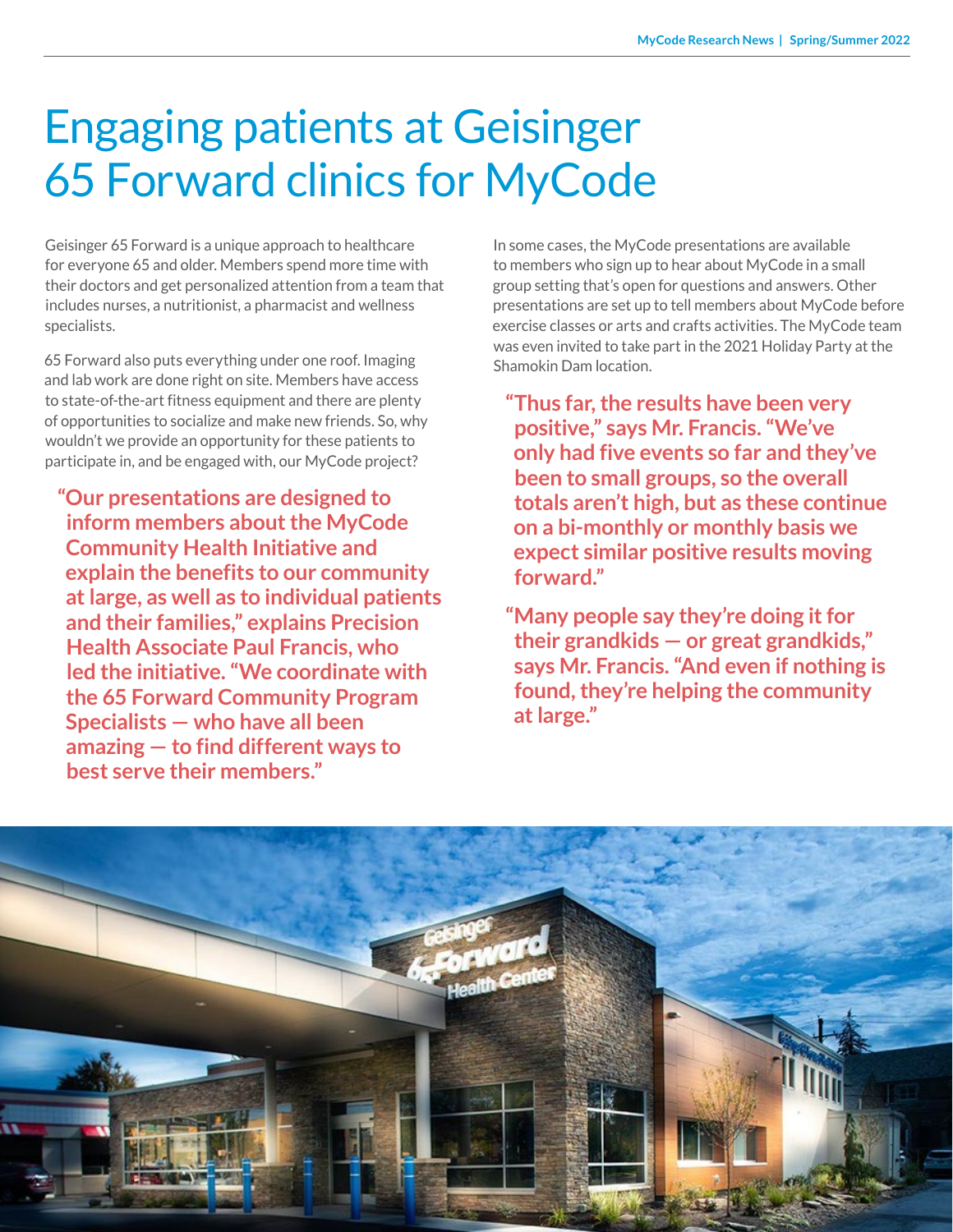# Engaging patients at Geisinger 65 Forward clinics for MyCode

Geisinger 65 Forward is a unique approach to healthcare for everyone 65 and older. Members spend more time with their doctors and get personalized attention from a team that includes nurses, a nutritionist, a pharmacist and wellness specialists.

65 Forward also puts everything under one roof. Imaging and lab work are done right on site. Members have access to state-of-the-art fitness equipment and there are plenty of opportunities to socialize and make new friends. So, why wouldn't we provide an opportunity for these patients to participate in, and be engaged with, our MyCode project?

**"Our presentations are designed to inform members about the MyCode Community Health Initiative and explain the benefits to our community at large, as well as to individual patients and their families," explains Precision Health Associate Paul Francis, who led the initiative. "We coordinate with the 65 Forward Community Program Specialists — who have all been amazing — to find different ways to best serve their members."**

In some cases, the MyCode presentations are available to members who sign up to hear about MyCode in a small group setting that's open for questions and answers. Other presentations are set up to tell members about MyCode before exercise classes or arts and crafts activities. The MyCode team was even invited to take part in the 2021 Holiday Party at the Shamokin Dam location.

**"Thus far, the results have been very positive," says Mr. Francis. "We've only had five events so far and they've been to small groups, so the overall totals aren't high, but as these continue on a bi-monthly or monthly basis we expect similar positive results moving forward."**

**"Many people say they're doing it for their grandkids — or great grandkids," says Mr. Francis. "And even if nothing is found, they're helping the community at large."**